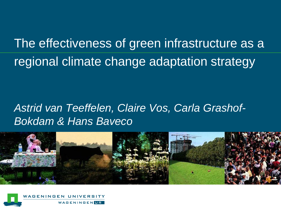The effectiveness of green infrastructure as a regional climate change adaptation strategy

#### *Astrid van Teeffelen, Claire Vos, Carla Grashof-Bokdam & Hans Baveco*



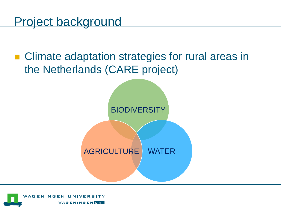Project background

## ■ Climate adaptation strategies for rural areas in the Netherlands (CARE project)

**BIODIVERSITY** 

AGRICULTURE WATER

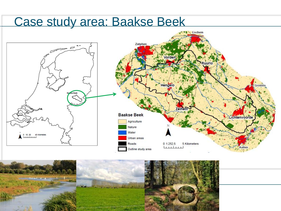## Case study area: Baakse Beek



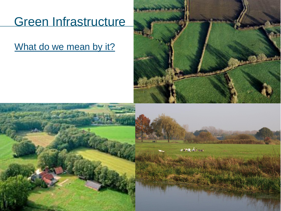# Green Infrastructure

#### What do we mean by it?



 $\mathcal{A} \rightarrow \mathcal{A}$ 

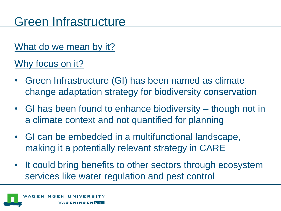# Green Infrastructure

#### What do we mean by it?

#### Why focus on it?

- Green Infrastructure (GI) has been named as climate change adaptation strategy for biodiversity conservation
- GI has been found to enhance biodiversity though not in a climate context and not quantified for planning
- GI can be embedded in a multifunctional landscape, making it a potentially relevant strategy in CARE
- It could bring benefits to other sectors through ecosystem services like water regulation and pest control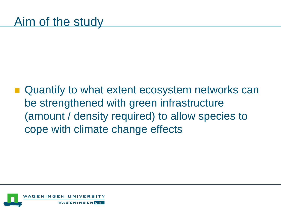■ Quantify to what extent ecosystem networks can be strengthened with green infrastructure (amount / density required) to allow species to cope with climate change effects

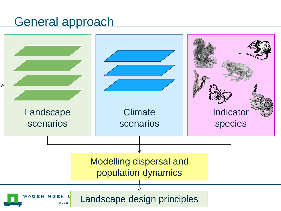## General approach

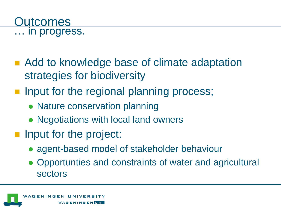

- Add to knowledge base of climate adaptation strategies for biodiversity
- **Input for the regional planning process;** 
	- Nature conservation planning
	- Negotiations with local land owners
- **If** Input for the project:
	- agent-based model of stakeholder behaviour
	- Opportunties and constraints of water and agricultural sectors